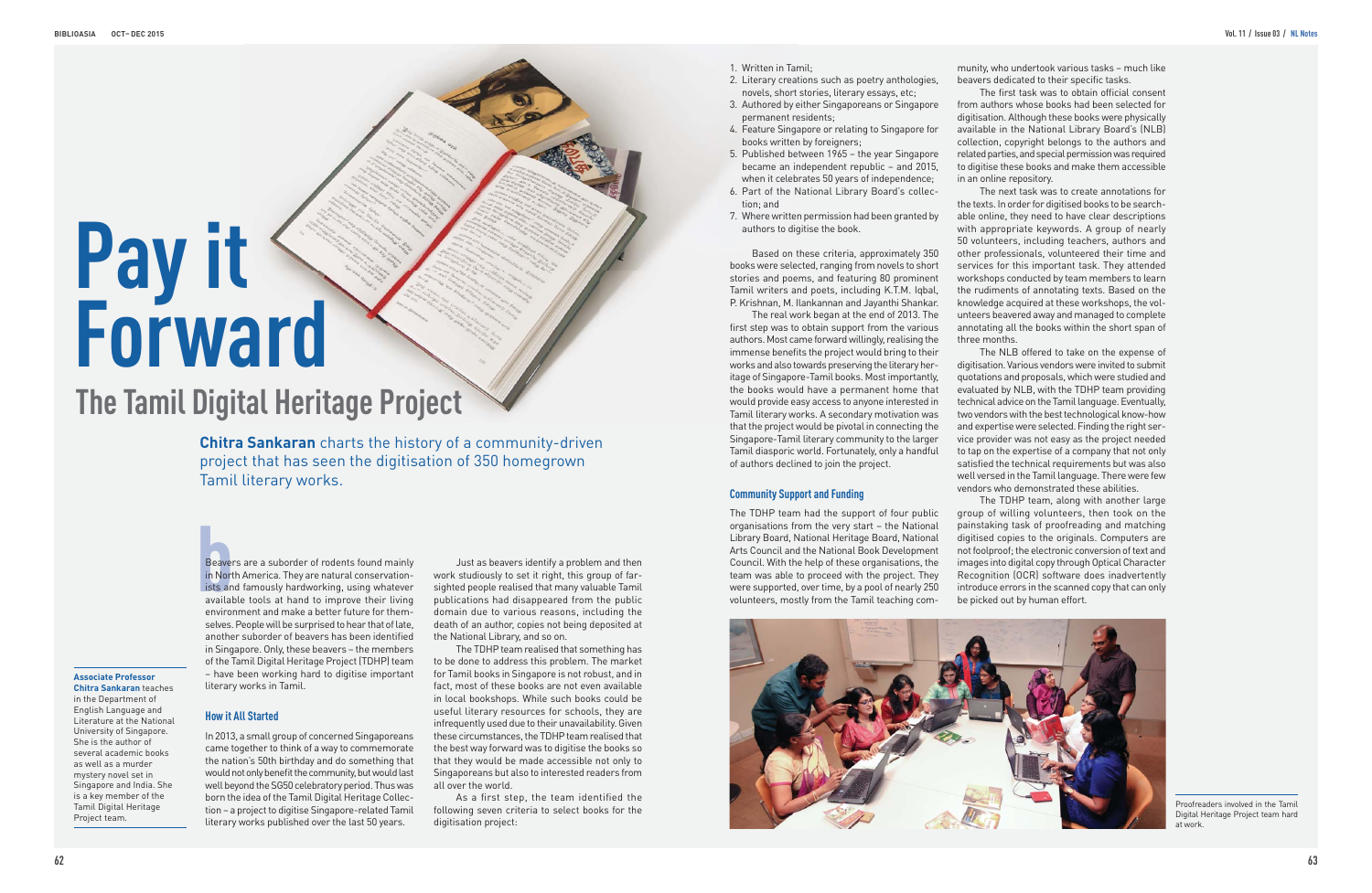**Chitra Sankaran** charts the history of a community-driven project that has seen the digitisation of 350 homegrown Tamil literary works.

**b**<br>**b**<br>**b**<br>**ists** and<br>**availal** Beavers are a suborder of rodents found mainly in North America. They are natural conservationists and famously hardworking, using whatever available tools at hand to improve their living environment and make a better future for themselves. People will be surprised to hear that of late, another suborder of beavers has been identified in Singapore. Only, these beavers – the members of the Tamil Digital Heritage Project (TDHP) team – have been working hard to digitise important literary works in Tamil.

### **How it All Started**

In 2013, a small group of concerned Singaporeans came together to think of a way to commemorate the nation's 50th birthday and do something that would not only benefit the community, but would last well beyond the SG50 celebratory period. Thus was born the idea of the Tamil Digital Heritage Collection – a project to digitise Singapore-related Tamil literary works published over the last 50 years.

Just as beavers identify a problem and then work studiously to set it right, this group of farsighted people realised that many valuable Tamil publications had disappeared from the public domain due to various reasons, including the death of an author, copies not being deposited at the National Library, and so on.

The TDHP team realised that something has to be done to address this problem. The market for Tamil books in Singapore is not robust, and in fact, most of these books are not even available in local bookshops. While such books could be useful literary resources for schools, they are infrequently used due to their unavailability. Given these circumstances, the TDHP team realised that the best way forward was to digitise the books so that they would be made accessible not only to Singaporeans but also to interested readers from all over the world.

As a first step, the team identified the following seven criteria to select books for the digitisation project:

**Associate Professor Chitra Sankaran** teaches in the Department of English Language and

Literature at the National University of Singapore.

She is the author of several academic books as well as a murder mystery novel set in Singapore and India. She is a key member of the Tamil Digital Heritage Project team.

# **Pay it Forward**

# **The Tamil Digital Heritage Project**

1. Written in Tamil;

- 2. Literary creations such as poetry anthologies, novels, short stories, literary essays, etc;
- 3. Authored by either Singaporeans or Singapore permanent residents;
- 4. Feature Singapore or relating to Singapore for books written by foreigners;
- 5. Published between 1965 the year Singapore became an independent republic – and 2015, when it celebrates 50 years of independence; 6. Part of the National Library Board's collec-
- tion; and
- 7. Where written permission had been granted by authors to digitise the book.

Based on these criteria, approximately 350 books were selected, ranging from novels to short stories and poems, and featuring 80 prominent Tamil writers and poets, including K.T.M. Iqbal, P. Krishnan, M. Ilankannan and Jayanthi Shankar.

The real work began at the end of 2013. The first step was to obtain support from the various authors. Most came forward willingly, realising the immense benefits the project would bring to their works and also towards preserving the literary heritage of Singapore-Tamil books. Most importantly, the books would have a permanent home that would provide easy access to anyone interested in Tamil literary works. A secondary motivation was that the project would be pivotal in connecting the Singapore-Tamil literary community to the larger Tamil diasporic world. Fortunately, only a handful of authors declined to join the project.

# **Community Support and Funding**

The TDHP team had the support of four public organisations from the very start – the National Library Board, National Heritage Board, National Arts Council and the National Book Development Council. With the help of these organisations, the team was able to proceed with the project. They were supported, over time, by a pool of nearly 250 volunteers, mostly from the Tamil teaching com-

Proofreaders involved in the Tamil Digital Heritage Project team hard at work.

munity, who undertook various tasks – much like beavers dedicated to their specific tasks.

The first task was to obtain official consent from authors whose books had been selected for digitisation. Although these books were physically available in the National Library Board's (NLB) collection, copyright belongs to the authors and related parties, and special permission was required to digitise these books and make them accessible in an online repository.

The next task was to create annotations for the texts. In order for digitised books to be searchable online, they need to have clear descriptions with appropriate keywords. A group of nearly 50 volunteers, including teachers, authors and other professionals, volunteered their time and services for this important task. They attended workshops conducted by team members to learn the rudiments of annotating texts. Based on the knowledge acquired at these workshops, the volunteers beavered away and managed to complete annotating all the books within the short span of three months.

The NLB offered to take on the expense of digitisation. Various vendors were invited to submit quotations and proposals, which were studied and evaluated by NLB, with the TDHP team providing technical advice on the Tamil language. Eventually, two vendors with the best technological know-how and expertise were selected. Finding the right service provider was not easy as the project needed to tap on the expertise of a company that not only satisfied the technical requirements but was also well versed in the Tamil language. There were few vendors who demonstrated these abilities. The TDHP team, along with another large group of willing volunteers, then took on the painstaking task of proofreading and matching digitised copies to the originals. Computers are not foolproof; the electronic conversion of text and images into digital copy through Optical Character Recognition (OCR) software does inadvertently introduce errors in the scanned copy that can only be picked out by human effort.